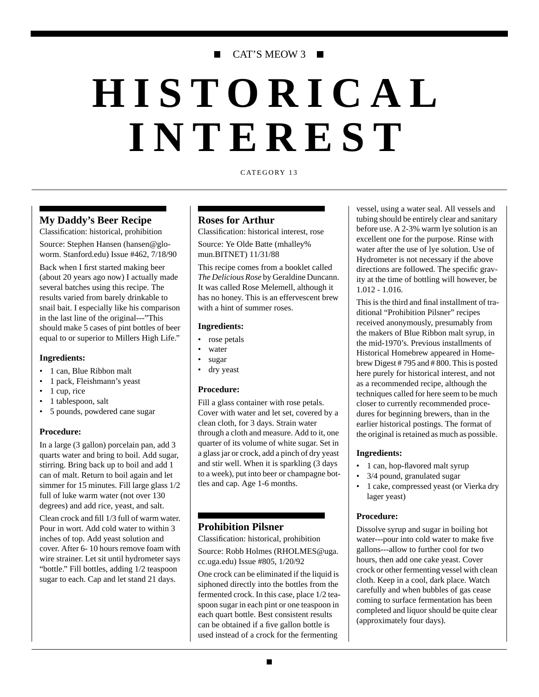# CAT'S MEOW 3 ■

# **HISTORICAL INTEREST**

CATEGORY 13

## **My Daddy's Beer Recipe**

Classification: historical, prohibition Source: Stephen Hansen (hansen@glo-

worm. Stanford.edu) Issue #462, 7/18/90 Back when I first started making beer (about 20 years ago now) I actually made

several batches using this recipe. The results varied from barely drinkable to snail bait. I especially like his comparison in the last line of the original---"This should make 5 cases of pint bottles of beer equal to or superior to Millers High Life."

#### **Ingredients:**

- 1 can, Blue Ribbon malt
- 1 pack, Fleishmann's yeast
- 1 cup, rice
- 1 tablespoon, salt
- 5 pounds, powdered cane sugar

#### **Procedure:**

In a large (3 gallon) porcelain pan, add 3 quarts water and bring to boil. Add sugar, stirring. Bring back up to boil and add 1 can of malt. Return to boil again and let simmer for 15 minutes. Fill large glass 1/2 full of luke warm water (not over 130 degrees) and add rice, yeast, and salt.

Clean crock and fill 1/3 full of warm water. Pour in wort. Add cold water to within 3 inches of top. Add yeast solution and cover. After 6- 10 hours remove foam with wire strainer. Let sit until hydrometer says "bottle." Fill bottles, adding 1/2 teaspoon sugar to each. Cap and let stand 21 days.

#### **Roses for Arthur**

Classification: historical interest, rose Source: Ye Olde Batte (mhalley% mun.BITNET) 11/31/88

This recipe comes from a booklet called *The Delicious Rose* by Geraldine Duncann. It was called Rose Melemell, although it has no honey. This is an effervescent brew with a hint of summer roses.

#### **Ingredients:**

- rose petals
- water
- sugar
- dry yeast

#### **Procedure:**

Fill a glass container with rose petals. Cover with water and let set, covered by a clean cloth, for 3 days. Strain water through a cloth and measure. Add to it, one quarter of its volume of white sugar. Set in a glass jar or crock, add a pinch of dry yeast and stir well. When it is sparkling (3 days to a week), put into beer or champagne bottles and cap. Age 1-6 months.

#### **Prohibition Pilsner**

Classification: historical, prohibition

Source: Robb Holmes (RHOLMES@uga. cc.uga.edu) Issue #805, 1/20/92

One crock can be eliminated if the liquid is siphoned directly into the bottles from the fermented crock. In this case, place 1/2 teaspoon sugar in each pint or one teaspoon in each quart bottle. Best consistent results can be obtained if a five gallon bottle is used instead of a crock for the fermenting

vessel, using a water seal. All vessels and tubing should be entirely clear and sanitary before use. A 2-3% warm lye solution is an excellent one for the purpose. Rinse with water after the use of lye solution. Use of Hydrometer is not necessary if the above directions are followed. The specific gravity at the time of bottling will however, be 1.012 - 1.016.

This is the third and final installment of traditional "Prohibition Pilsner" recipes received anonymously, presumably from the makers of Blue Ribbon malt syrup, in the mid-1970's. Previous installments of Historical Homebrew appeared in Homebrew Digest # 795 and # 800. This is posted here purely for historical interest, and not as a recommended recipe, although the techniques called for here seem to be much closer to currently recommended procedures for beginning brewers, than in the earlier historical postings. The format of the original is retained as much as possible.

#### **Ingredients:**

- 1 can, hop-flavored malt syrup
- 3/4 pound, granulated sugar
- 1 cake, compressed yeast (or Vierka dry lager yeast)

#### **Procedure:**

Dissolve syrup and sugar in boiling hot water---pour into cold water to make five gallons---allow to further cool for two hours, then add one cake yeast. Cover crock or other fermenting vessel with clean cloth. Keep in a cool, dark place. Watch carefully and when bubbles of gas cease coming to surface fermentation has been completed and liquor should be quite clear (approximately four days).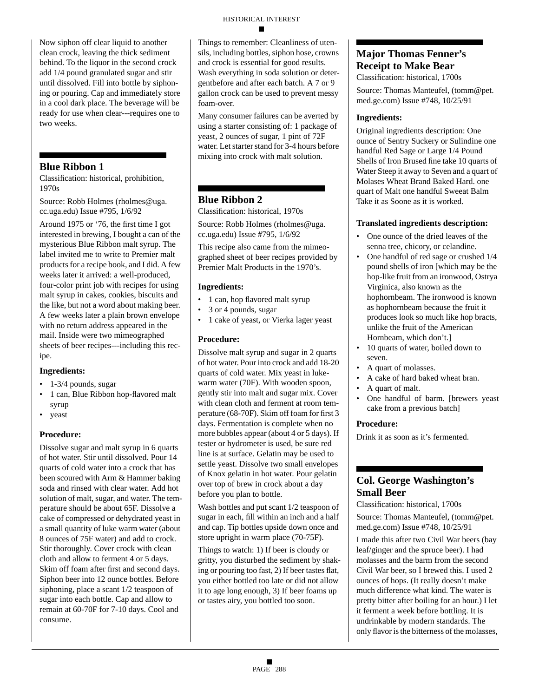Now siphon off clear liquid to another clean crock, leaving the thick sediment behind. To the liquor in the second crock add 1/4 pound granulated sugar and stir until dissolved. Fill into bottle by siphoning or pouring. Cap and immediately store in a cool dark place. The beverage will be ready for use when clear---requires one to two weeks.

## **Blue Ribbon 1**

Classification: historical, prohibition, 1970s

Source: Robb Holmes (rholmes@uga. cc.uga.edu) Issue #795, 1/6/92

Around 1975 or '76, the first time I got interested in brewing, I bought a can of the mysterious Blue Ribbon malt syrup. The label invited me to write to Premier malt products for a recipe book, and I did. A few weeks later it arrived: a well-produced, four-color print job with recipes for using malt syrup in cakes, cookies, biscuits and the like, but not a word about making beer. A few weeks later a plain brown envelope with no return address appeared in the mail. Inside were two mimeographed sheets of beer recipes---including this recipe.

#### **Ingredients:**

- 1-3/4 pounds, sugar
- 1 can, Blue Ribbon hop-flavored malt syrup
- yeast

#### **Procedure:**

Dissolve sugar and malt syrup in 6 quarts of hot water. Stir until dissolved. Pour 14 quarts of cold water into a crock that has been scoured with Arm & Hammer baking soda and rinsed with clear water. Add hot solution of malt, sugar, and water. The temperature should be about 65F. Dissolve a cake of compressed or dehydrated yeast in a small quantity of luke warm water (about 8 ounces of 75F water) and add to crock. Stir thoroughly. Cover crock with clean cloth and allow to ferment 4 or 5 days. Skim off foam after first and second days. Siphon beer into 12 ounce bottles. Before siphoning, place a scant 1/2 teaspoon of sugar into each bottle. Cap and allow to remain at 60-70F for 7-10 days. Cool and consume.

Things to remember: Cleanliness of utensils, including bottles, siphon hose, crowns and crock is essential for good results. Wash everything in soda solution or detergentbefore and after each batch. A 7 or 9 gallon crock can be used to prevent messy foam-over.

Many consumer failures can be averted by using a starter consisting of: 1 package of yeast, 2 ounces of sugar, 1 pint of 72F water. Let starter stand for 3-4 hours before mixing into crock with malt solution.

## **Blue Ribbon 2**

Classification: historical, 1970s

Source: Robb Holmes (rholmes@uga. cc.uga.edu) Issue #795, 1/6/92

This recipe also came from the mimeographed sheet of beer recipes provided by Premier Malt Products in the 1970's.

#### **Ingredients:**

- 1 can, hop flavored malt syrup
- 3 or 4 pounds, sugar
- 1 cake of yeast, or Vierka lager yeast

#### **Procedure:**

Dissolve malt syrup and sugar in 2 quarts of hot water. Pour into crock and add 18-20 quarts of cold water. Mix yeast in lukewarm water (70F). With wooden spoon, gently stir into malt and sugar mix. Cover with clean cloth and ferment at room temperature (68-70F). Skim off foam for first 3 days. Fermentation is complete when no more bubbles appear (about 4 or 5 days). If tester or hydrometer is used, be sure red line is at surface. Gelatin may be used to settle yeast. Dissolve two small envelopes of Knox gelatin in hot water. Pour gelatin over top of brew in crock about a day before you plan to bottle.

Wash bottles and put scant 1/2 teaspoon of sugar in each, fill within an inch and a half and cap. Tip bottles upside down once and store upright in warm place (70-75F).

Things to watch: 1) If beer is cloudy or gritty, you disturbed the sediment by shaking or pouring too fast, 2) If beer tastes flat, you either bottled too late or did not allow it to age long enough, 3) If beer foams up or tastes airy, you bottled too soon.

# **Major Thomas Fenner's Receipt to Make Bear**

Classification: historical, 1700s Source: Thomas Manteufel, (tomm@pet.

med.ge.com) Issue #748, 10/25/91

#### **Ingredients:**

Original ingredients description: One ounce of Sentry Suckery or Sulindine one handful Red Sage or Large 1/4 Pound Shells of Iron Brused fine take 10 quarts of Water Steep it away to Seven and a quart of Molases Wheat Brand Baked Hard. one quart of Malt one handful Sweeat Balm Take it as Soone as it is worked.

#### **Translated ingredients description:**

- One ounce of the dried leaves of the senna tree, chicory, or celandine.
- One handful of red sage or crushed 1/4 pound shells of iron [which may be the hop-like fruit from an ironwood, Ostrya Virginica, also known as the hophornbeam. The ironwood is known as hophornbeam because the fruit it produces look so much like hop bracts, unlike the fruit of the American Hornbeam, which don't.]
- 10 quarts of water, boiled down to seven.
- A quart of molasses.
- A cake of hard baked wheat bran.
- A quart of malt.
- One handful of barm. [brewers yeast cake from a previous batch]

#### **Procedure:**

Drink it as soon as it's fermented.

# **Col. George Washington's Small Beer**

Classification: historical, 1700s

Source: Thomas Manteufel, (tomm@pet. med.ge.com) Issue #748, 10/25/91

I made this after two Civil War beers (bay leaf/ginger and the spruce beer). I had molasses and the barm from the second Civil War beer, so I brewed this. I used 2 ounces of hops. (It really doesn't make much difference what kind. The water is pretty bitter after boiling for an hour.) I let it ferment a week before bottling. It is undrinkable by modern standards. The only flavor is the bitterness of the molasses,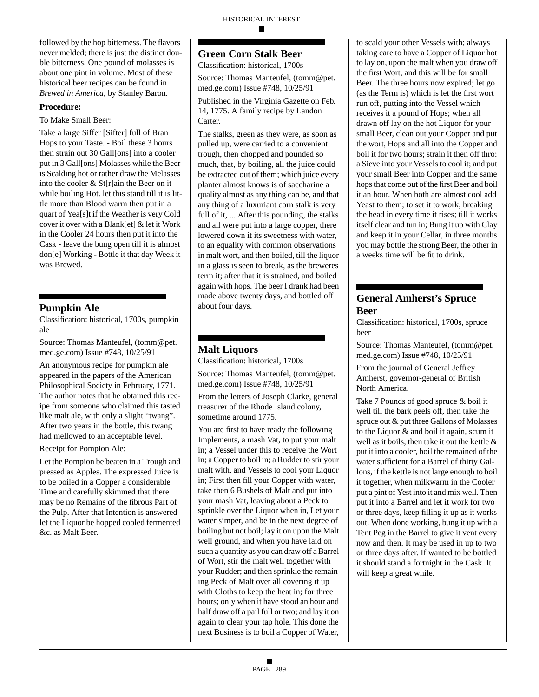followed by the hop bitterness. The flavors never melded; there is just the distinct double bitterness. One pound of molasses is about one pint in volume. Most of these historical beer recipes can be found in *Brewed in America*, by Stanley Baron.

#### **Procedure:**

To Make Small Beer:

Take a large Siffer [Sifter] full of Bran Hops to your Taste. - Boil these 3 hours then strain out 30 Gall[ons] into a cooler put in 3 Gall[ons] Molasses while the Beer is Scalding hot or rather draw the Melasses into the cooler & St[r]ain the Beer on it while boiling Hot. let this stand till it is little more than Blood warm then put in a quart of Yea[s]t if the Weather is very Cold cover it over with a Blank[et] & let it Work in the Cooler 24 hours then put it into the Cask - leave the bung open till it is almost don[e] Working - Bottle it that day Week it was Brewed.

## **Pumpkin Ale**

Classification: historical, 1700s, pumpkin ale

Source: Thomas Manteufel, (tomm@pet. med.ge.com) Issue #748, 10/25/91

An anonymous recipe for pumpkin ale appeared in the papers of the American Philosophical Society in February, 1771. The author notes that he obtained this recipe from someone who claimed this tasted like malt ale, with only a slight "twang". After two years in the bottle, this twang had mellowed to an acceptable level.

Receipt for Pompion Ale:

Let the Pompion be beaten in a Trough and pressed as Apples. The expressed Juice is to be boiled in a Copper a considerable Time and carefully skimmed that there may be no Remains of the fibrous Part of the Pulp. After that Intention is answered let the Liquor be hopped cooled fermented &c. as Malt Beer.

**Green Corn Stalk Beer**

Classification: historical, 1700s

Source: Thomas Manteufel, (tomm@pet. med.ge.com) Issue #748, 10/25/91

Published in the Virginia Gazette on Feb. 14, 1775. A family recipe by Landon Carter.

The stalks, green as they were, as soon as pulled up, were carried to a convenient trough, then chopped and pounded so much, that, by boiling, all the juice could be extracted out of them; which juice every planter almost knows is of saccharine a quality almost as any thing can be, and that any thing of a luxuriant corn stalk is very full of it, ... After this pounding, the stalks and all were put into a large copper, there lowered down it its sweetness with water, to an equality with common observations in malt wort, and then boiled, till the liquor in a glass is seen to break, as the breweres term it; after that it is strained, and boiled again with hops. The beer I drank had been made above twenty days, and bottled off about four days.

# **Malt Liquors**

Classification: historical, 1700s Source: Thomas Manteufel, (tomm@pet. med.ge.com) Issue #748, 10/25/91

From the letters of Joseph Clarke, general treasurer of the Rhode Island colony, sometime around 1775.

You are first to have ready the following Implements, a mash Vat, to put your malt in; a Vessel under this to receive the Wort in; a Copper to boil in; a Rudder to stir your malt with, and Vessels to cool your Liquor in; First then fill your Copper with water, take then 6 Bushels of Malt and put into your mash Vat, leaving about a Peck to sprinkle over the Liquor when in, Let your water simper, and be in the next degree of boiling but not boil; lay it on upon the Malt well ground, and when you have laid on such a quantity as you can draw off a Barrel of Wort, stir the malt well together with your Rudder; and then sprinkle the remaining Peck of Malt over all covering it up with Cloths to keep the heat in; for three hours; only when it have stood an hour and half draw off a pail full or two; and lay it on again to clear your tap hole. This done the next Business is to boil a Copper of Water,

to scald your other Vessels with; always taking care to have a Copper of Liquor hot to lay on, upon the malt when you draw off the first Wort, and this will be for small Beer. The three hours now expired; let go (as the Term is) which is let the first wort run off, putting into the Vessel which receives it a pound of Hops; when all drawn off lay on the hot Liquor for your small Beer, clean out your Copper and put the wort, Hops and all into the Copper and boil it for two hours; strain it then off thro: a Sieve into your Vessels to cool it; and put your small Beer into Copper and the same hops that come out of the first Beer and boil it an hour. When both are almost cool add Yeast to them; to set it to work, breaking the head in every time it rises; till it works itself clear and tun in; Bung it up with Clay and keep it in your Cellar, in three months you may bottle the strong Beer, the other in a weeks time will be fit to drink.

## **General Amherst's Spruce Beer**

Classification: historical, 1700s, spruce beer

Source: Thomas Manteufel, (tomm@pet. med.ge.com) Issue #748, 10/25/91

From the journal of General Jeffrey Amherst, governor-general of British North America.

Take 7 Pounds of good spruce & boil it well till the bark peels off, then take the spruce out & put three Gallons of Molasses to the Liquor & and boil it again, scum it well as it boils, then take it out the kettle & put it into a cooler, boil the remained of the water sufficient for a Barrel of thirty Gallons, if the kettle is not large enough to boil it together, when milkwarm in the Cooler put a pint of Yest into it and mix well. Then put it into a Barrel and let it work for two or three days, keep filling it up as it works out. When done working, bung it up with a Tent Peg in the Barrel to give it vent every now and then. It may be used in up to two or three days after. If wanted to be bottled it should stand a fortnight in the Cask. It will keep a great while.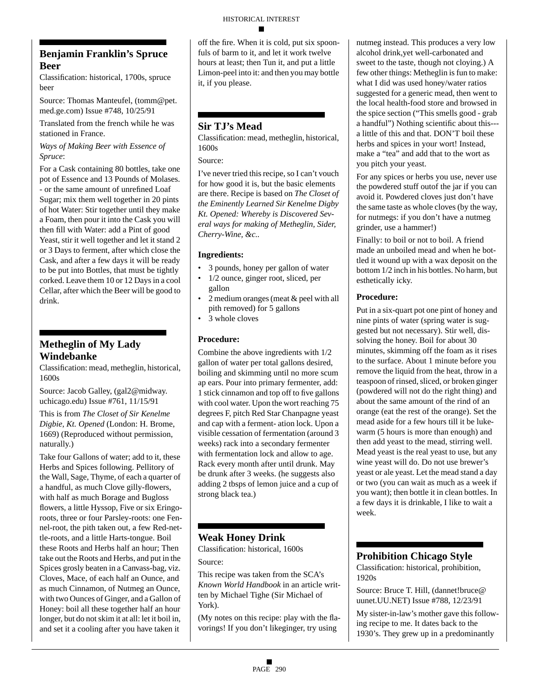# **Benjamin Franklin's Spruce Beer**

Classification: historical, 1700s, spruce beer

Source: Thomas Manteufel, (tomm@pet. med.ge.com) Issue #748, 10/25/91

Translated from the french while he was stationed in France.

*Ways of Making Beer with Essence of Spruce*:

For a Cask containing 80 bottles, take one pot of Essence and 13 Pounds of Molases. - or the same amount of unrefined Loaf Sugar; mix them well together in 20 pints of hot Water: Stir together until they make a Foam, then pour it into the Cask you will then fill with Water: add a Pint of good Yeast, stir it well together and let it stand 2 or 3 Days to ferment, after which close the Cask, and after a few days it will be ready to be put into Bottles, that must be tightly corked. Leave them 10 or 12 Days in a cool Cellar, after which the Beer will be good to drink.

# **Metheglin of My Lady Windebanke**

Classification: mead, metheglin, historical, 1600s

Source: Jacob Galley, (gal2@midway. uchicago.edu) Issue #761, 11/15/91

This is from *The Closet of Sir Kenelme Digbie, Kt. Opened* (London: H. Brome, 1669) (Reproduced without permission, naturally.)

Take four Gallons of water; add to it, these Herbs and Spices following. Pellitory of the Wall, Sage, Thyme, of each a quarter of a handful, as much Clove gilly-flowers, with half as much Borage and Bugloss flowers, a little Hyssop, Five or six Eringoroots, three or four Parsley-roots: one Fennel-root, the pith taken out, a few Red-nettle-roots, and a little Harts-tongue. Boil these Roots and Herbs half an hour; Then take out the Roots and Herbs, and put in the Spices grosly beaten in a Canvass-bag, viz. Cloves, Mace, of each half an Ounce, and as much Cinnamon, of Nutmeg an Ounce, with two Ounces of Ginger, and a Gallon of Honey: boil all these together half an hour longer, but do not skim it at all: let it boil in, and set it a cooling after you have taken it

off the fire. When it is cold, put six spoonfuls of barm to it, and let it work twelve hours at least; then Tun it, and put a little Limon-peel into it: and then you may bottle it, if you please.

## **Sir TJ's Mead**

Classification: mead, metheglin, historical, 1600s

Source:

I've never tried this recipe, so I can't vouch for how good it is, but the basic elements are there. Recipe is based on *The Closet of the Eminently Learned Sir Kenelme Digby Kt. Opened: Whereby is Discovered Several ways for making of Metheglin, Sider, Cherry-Wine, &c..*

#### **Ingredients:**

- 3 pounds, honey per gallon of water
- 1/2 ounce, ginger root, sliced, per gallon
- 2 medium oranges (meat & peel with all pith removed) for 5 gallons
- 3 whole cloves

#### **Procedure:**

Combine the above ingredients with 1/2 gallon of water per total gallons desired, boiling and skimming until no more scum ap ears. Pour into primary fermenter, add: 1 stick cinnamon and top off to five gallons with cool water. Upon the wort reaching 75 degrees F, pitch Red Star Chanpagne yeast and cap with a ferment- ation lock. Upon a visible cessation of fermentation (around 3 weeks) rack into a secondary fermenter with fermentation lock and allow to age. Rack every month after until drunk. May be drunk after 3 weeks. (he suggests also adding 2 tbsps of lemon juice and a cup of strong black tea.)

## **Weak Honey Drink**

Classification: historical, 1600s Source:

This recipe was taken from the SCA's *Known World Handbook* in an article written by Michael Tighe (Sir Michael of York).

(My notes on this recipe: play with the flavorings! If you don't likeginger, try using

nutmeg instead. This produces a very low alcohol drink,yet well-carbonated and sweet to the taste, though not cloying.) A few other things: Metheglin is fun to make: what I did was used honey/water ratios suggested for a generic mead, then went to the local health-food store and browsed in the spice section ("This smells good - grab a handful") Nothing scientific about this-- a little of this and that. DON'T boil these herbs and spices in your wort! Instead, make a "tea" and add that to the wort as you pitch your yeast.

For any spices or herbs you use, never use the powdered stuff outof the jar if you can avoid it. Powdered cloves just don't have the same taste as whole cloves (by the way, for nutmegs: if you don't have a nutmeg grinder, use a hammer!)

Finally: to boil or not to boil. A friend made an unboiled mead and when he bottled it wound up with a wax deposit on the bottom 1/2 inch in his bottles. No harm, but esthetically icky.

#### **Procedure:**

Put in a six-quart pot one pint of honey and nine pints of water (spring water is suggested but not necessary). Stir well, dissolving the honey. Boil for about 30 minutes, skimming off the foam as it rises to the surface. About 1 minute before you remove the liquid from the heat, throw in a teaspoon of rinsed, sliced, or broken ginger (powdered will not do the right thing) and about the same amount of the rind of an orange (eat the rest of the orange). Set the mead aside for a few hours till it be lukewarm (5 hours is more than enough) and then add yeast to the mead, stirring well. Mead yeast is the real yeast to use, but any wine yeast will do. Do not use brewer's yeast or ale yeast. Let the mead stand a day or two (you can wait as much as a week if you want); then bottle it in clean bottles. In a few days it is drinkable, I like to wait a week.

## **Prohibition Chicago Style**

Classification: historical, prohibition, 1920s

Source: Bruce T. Hill, (dannet!bruce@ uunet.UU.NET) Issue #788, 12/23/91

My sister-in-law's mother gave this following recipe to me. It dates back to the 1930's. They grew up in a predominantly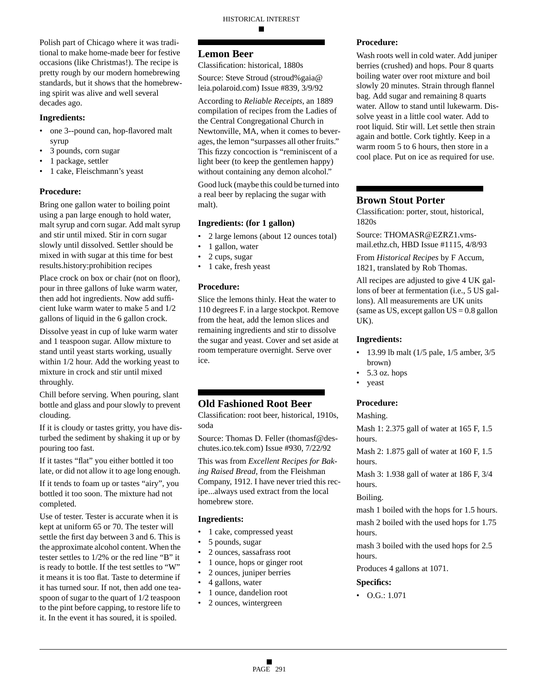Polish part of Chicago where it was traditional to make home-made beer for festive occasions (like Christmas!). The recipe is pretty rough by our modern homebrewing standards, but it shows that the homebrewing spirit was alive and well several decades ago.

#### **Ingredients:**

- one 3--pound can, hop-flavored malt syrup
- 3 pounds, corn sugar
- 1 package, settler
- 1 cake, Fleischmann's yeast

#### **Procedure:**

Bring one gallon water to boiling point using a pan large enough to hold water, malt syrup and corn sugar. Add malt syrup and stir until mixed. Stir in corn sugar slowly until dissolved. Settler should be mixed in with sugar at this time for best results.history:prohibition recipes

Place crock on box or chair (not on floor), pour in three gallons of luke warm water, then add hot ingredients. Now add sufficient luke warm water to make 5 and 1/2 gallons of liquid in the 6 gallon crock.

Dissolve yeast in cup of luke warm water and 1 teaspoon sugar. Allow mixture to stand until yeast starts working, usually within 1/2 hour. Add the working yeast to mixture in crock and stir until mixed throughly.

Chill before serving. When pouring, slant bottle and glass and pour slowly to prevent clouding.

If it is cloudy or tastes gritty, you have disturbed the sediment by shaking it up or by pouring too fast.

If it tastes "flat" you either bottled it too late, or did not allow it to age long enough.

If it tends to foam up or tastes "airy", you bottled it too soon. The mixture had not completed.

Use of tester. Tester is accurate when it is kept at uniform 65 or 70. The tester will settle the first day between 3 and 6. This is the approximate alcohol content. When the tester settles to 1/2% or the red line "B" it is ready to bottle. If the test settles to "W" it means it is too flat. Taste to determine if it has turned sour. If not, then add one teaspoon of sugar to the quart of 1/2 teaspoon to the pint before capping, to restore life to it. In the event it has soured, it is spoiled.

## **Lemon Beer**

Classification: historical, 1880s

Source: Steve Stroud (stroud%gaia@ leia.polaroid.com) Issue #839, 3/9/92

According to *Reliable Receipts*, an 1889 compilation of recipes from the Ladies of the Central Congregational Church in Newtonville, MA, when it comes to beverages, the lemon "surpasses all other fruits." This fizzy concoction is "reminiscent of a light beer (to keep the gentlemen happy) without containing any demon alcohol."

Good luck (maybe this could be turned into a real beer by replacing the sugar with malt).

#### **Ingredients: (for 1 gallon)**

- 2 large lemons (about 12 ounces total)
- 1 gallon, water
- 2 cups, sugar
- 1 cake, fresh yeast

#### **Procedure:**

Slice the lemons thinly. Heat the water to 110 degrees F. in a large stockpot. Remove from the heat, add the lemon slices and remaining ingredients and stir to dissolve the sugar and yeast. Cover and set aside at room temperature overnight. Serve over ice.

# **Old Fashioned Root Beer**

Classification: root beer, historical, 1910s, soda

Source: Thomas D. Feller (thomasf@deschutes.ico.tek.com) Issue #930, 7/22/92

This was from *Excellent Recipes for Baking Raised Bread*, from the Fleishman Company, 1912. I have never tried this recipe...always used extract from the local homebrew store.

#### **Ingredients:**

- 1 cake, compressed yeast
- 5 pounds, sugar
- 2 ounces, sassafrass root
- 1 ounce, hops or ginger root
- 2 ounces, juniper berries
- 4 gallons, water
- 1 ounce, dandelion root
- 2 ounces, wintergreen

#### **Procedure:**

Wash roots well in cold water. Add juniper berries (crushed) and hops. Pour 8 quarts boiling water over root mixture and boil slowly 20 minutes. Strain through flannel bag. Add sugar and remaining 8 quarts water. Allow to stand until lukewarm. Dissolve yeast in a little cool water. Add to root liquid. Stir will. Let settle then strain again and bottle. Cork tightly. Keep in a warm room 5 to 6 hours, then store in a cool place. Put on ice as required for use.

## **Brown Stout Porter**

Classification: porter, stout, historical, 1820s

Source: THOMASR@EZRZ1.vmsmail.ethz.ch, HBD Issue #1115, 4/8/93

From *Historical Recipes* by F Accum, 1821, translated by Rob Thomas.

All recipes are adjusted to give 4 UK gallons of beer at fermentation (i.e., 5 US gallons). All measurements are UK units (same as US, except gallon  $US = 0.8$  gallon UK).

#### **Ingredients:**

- 13.99 lb malt (1/5 pale, 1/5 amber, 3/5 brown)
- 5.3 oz. hops
- yeast

## **Procedure:**

Mashing.

Mash 1: 2.375 gall of water at 165 F, 1.5 hours.

Mash 2: 1.875 gall of water at 160 F, 1.5 hours.

Mash 3: 1.938 gall of water at 186 F, 3/4 hours.

#### Boiling.

mash 1 boiled with the hops for 1.5 hours. mash 2 boiled with the used hops for 1.75 hours.

mash 3 boiled with the used hops for 2.5 hours.

Produces 4 gallons at 1071.

#### **Specifics:**

 $\bullet$  O.G.: 1.071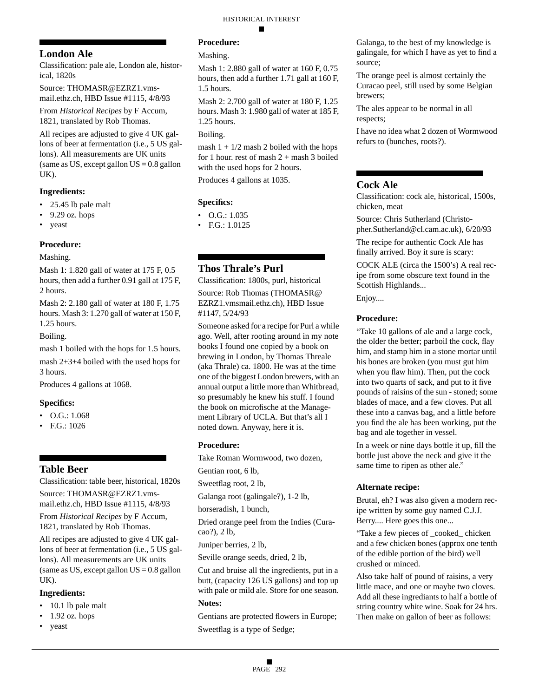## **London Ale**

Classification: pale ale, London ale, historical, 1820s

Source: THOMASR@EZRZ1.vmsmail.ethz.ch, HBD Issue #1115, 4/8/93

From *Historical Recipes* by F Accum, 1821, translated by Rob Thomas.

All recipes are adjusted to give 4 UK gallons of beer at fermentation (i.e., 5 US gallons). All measurements are UK units (same as US, except gallon  $US = 0.8$  gallon UK).

#### **Ingredients:**

- 25.45 lb pale malt
- 9.29 oz. hops
- yeast

#### **Procedure:**

Mashing.

Mash 1: 1.820 gall of water at 175 F, 0.5 hours, then add a further 0.91 gall at 175 F, 2 hours.

Mash 2: 2.180 gall of water at 180 F, 1.75 hours. Mash 3: 1.270 gall of water at 150 F, 1.25 hours.

#### Boiling.

mash 1 boiled with the hops for 1.5 hours. mash 2+3+4 boiled with the used hops for 3 hours.

Produces 4 gallons at 1068.

#### **Specifics:**

- O.G.: 1.068
- F.G.: 1026

# **Table Beer**

Classification: table beer, historical, 1820s Source: THOMASR@EZRZ1.vmsmail.ethz.ch, HBD Issue #1115, 4/8/93

From *Historical Recipes* by F Accum, 1821, translated by Rob Thomas.

All recipes are adjusted to give 4 UK gallons of beer at fermentation (i.e., 5 US gallons). All measurements are UK units (same as US, except gallon  $US = 0.8$  gallon UK).

#### **Ingredients:**

- 10.1 lb pale malt
- $\cdot$  1.92 oz. hops
- yeast

## **Procedure:**

#### Mashing.

Mash 1: 2.880 gall of water at 160 F, 0.75 hours, then add a further 1.71 gall at 160 F, 1.5 hours.

Mash 2: 2.700 gall of water at 180 F, 1.25 hours. Mash 3: 1.980 gall of water at 185 F, 1.25 hours.

#### Boiling.

mash  $1 + 1/2$  mash 2 boiled with the hops for 1 hour. rest of mash  $2 +$  mash 3 boiled with the used hops for 2 hours.

Produces 4 gallons at 1035.

#### **Specifics:**

- $O.G.: 1.035$
- F.G.: 1.0125

## **Thos Thrale's Purl**

Classification: 1800s, purl, historical Source: Rob Thomas (THOMASR@ EZRZ1.vmsmail.ethz.ch), HBD Issue #1147, 5/24/93

Someone asked for a recipe for Purl a while ago. Well, after rooting around in my note books I found one copied by a book on brewing in London, by Thomas Threale (aka Thrale) ca. 1800. He was at the time one of the biggest London brewers, with an annual output a little more than Whitbread, so presumably he knew his stuff. I found the book on microfische at the Management Library of UCLA. But that's all I noted down. Anyway, here it is.

#### **Procedure:**

Take Roman Wormwood, two dozen,

Gentian root, 6 lb,

Sweetflag root, 2 lb,

Galanga root (galingale?), 1-2 lb,

horseradish, 1 bunch,

Dried orange peel from the Indies (Curacao?), 2 lb,

Juniper berries, 2 lb,

Seville orange seeds, dried, 2 lb,

Cut and bruise all the ingredients, put in a butt, (capacity 126 US gallons) and top up with pale or mild ale. Store for one season.

#### **Notes:**

Gentians are protected flowers in Europe;

Sweetflag is a type of Sedge;

Galanga, to the best of my knowledge is galingale, for which I have as yet to find a source;

The orange peel is almost certainly the Curacao peel, still used by some Belgian brewers;

The ales appear to be normal in all respects;

I have no idea what 2 dozen of Wormwood refurs to (bunches, roots?).

## **Cock Ale**

Classification: cock ale, historical, 1500s, chicken, meat

Source: Chris Sutherland (Christopher.Sutherland@cl.cam.ac.uk), 6/20/93

The recipe for authentic Cock Ale has finally arrived. Boy it sure is scary:

COCK ALE (circa the 1500's) A real recipe from some obscure text found in the Scottish Highlands...

Enjoy....

#### **Procedure:**

"Take 10 gallons of ale and a large cock, the older the better; parboil the cock, flay him, and stamp him in a stone mortar until his bones are broken (you must gut him when you flaw him). Then, put the cock into two quarts of sack, and put to it five pounds of raisins of the sun - stoned; some blades of mace, and a few cloves. Put all these into a canvas bag, and a little before you find the ale has been working, put the bag and ale together in vessel.

In a week or nine days bottle it up, fill the bottle just above the neck and give it the same time to ripen as other ale."

#### **Alternate recipe:**

Brutal, eh? I was also given a modern recipe written by some guy named C.J.J. Berry.... Here goes this one...

"Take a few pieces of \_cooked\_ chicken and a few chicken bones (approx one tenth of the edible portion of the bird) well crushed or minced.

Also take half of pound of raisins, a very little mace, and one or maybe two cloves. Add all these ingrediants to half a bottle of string country white wine. Soak for 24 hrs. Then make on gallon of beer as follows: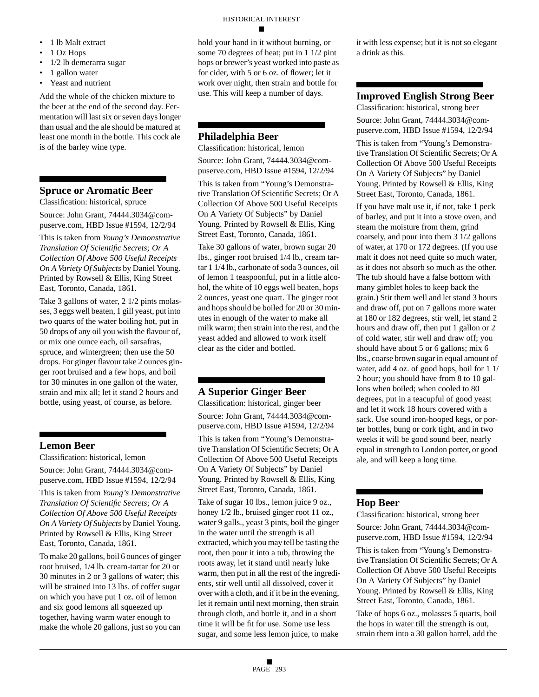- 1 lb Malt extract
- 1 Oz Hops
- 1/2 lb demerarra sugar
- 1 gallon water
- Yeast and nutrient

Add the whole of the chicken mixture to the beer at the end of the second day. Fermentation will last six or seven days longer than usual and the ale should be matured at least one month in the bottle. This cock ale is of the barley wine type.

## **Spruce or Aromatic Beer**

Classification: historical, spruce

Source: John Grant, 74444.3034@compuserve.com, HBD Issue #1594, 12/2/94

This is taken from *Young's Demonstrative Translation Of Scientific Secrets; Or A Collection Of Above 500 Useful Receipts On A Variety Of Subjects* by Daniel Young. Printed by Rowsell & Ellis, King Street East, Toronto, Canada, 1861.

Take 3 gallons of water, 2 1/2 pints molasses, 3 eggs well beaten, 1 gill yeast, put into two quarts of the water boiling hot, put in 50 drops of any oil you wish the flavour of, or mix one ounce each, oil sarsafras, spruce, and wintergreen; then use the 50 drops. For ginger flavour take 2 ounces ginger root bruised and a few hops, and boil for 30 minutes in one gallon of the water, strain and mix all; let it stand 2 hours and bottle, using yeast, of course, as before.

## **Lemon Beer**

Classification: historical, lemon Source: John Grant, 74444.3034@compuserve.com, HBD Issue #1594, 12/2/94

This is taken from *Young's Demonstrative Translation Of Scientific Secrets; Or A Collection Of Above 500 Useful Receipts On A Variety Of Subjects* by Daniel Young. Printed by Rowsell & Ellis, King Street East, Toronto, Canada, 1861.

To make 20 gallons, boil 6 ounces of ginger root bruised, 1/4 lb. cream-tartar for 20 or 30 minutes in 2 or 3 gallons of water; this will be strained into 13 lbs. of coffer sugar on which you have put 1 oz. oil of lemon and six good lemons all squeezed up together, having warm water enough to make the whole 20 gallons, just so you can hold your hand in it without burning, or some 70 degrees of heat; put in 1 1/2 pint hops or brewer's yeast worked into paste as for cider, with 5 or 6 oz. of flower; let it work over night, then strain and bottle for use. This will keep a number of days.

# **Philadelphia Beer**

Classification: historical, lemon

Source: John Grant, 74444.3034@compuserve.com, HBD Issue #1594, 12/2/94

This is taken from "Young's Demonstrative Translation Of Scientific Secrets; Or A Collection Of Above 500 Useful Receipts On A Variety Of Subjects" by Daniel Young. Printed by Rowsell & Ellis, King Street East, Toronto, Canada, 1861.

Take 30 gallons of water, brown sugar 20 lbs., ginger root bruised 1/4 lb., cream tartar 1 1/4 lb., carbonate of soda 3 ounces, oil of lemon 1 teaspoonful, put in a little alcohol, the white of 10 eggs well beaten, hops 2 ounces, yeast one quart. The ginger root and hops should be boiled for 20 or 30 minutes in enough of the water to make all milk warm; then strain into the rest, and the yeast added and allowed to work itself clear as the cider and bottled.

# **A Superior Ginger Beer**

Classification: historical, ginger beer Source: John Grant, 74444.3034@compuserve.com, HBD Issue #1594, 12/2/94 This is taken from "Young's Demonstrative Translation Of Scientific Secrets; Or A Collection Of Above 500 Useful Receipts On A Variety Of Subjects" by Daniel Young. Printed by Rowsell & Ellis, King Street East, Toronto, Canada, 1861.

Take of sugar 10 lbs., lemon juice 9 oz., honey 1/2 lb., bruised ginger root 11 oz., water 9 galls., yeast 3 pints, boil the ginger in the water until the strength is all extracted, which you may tell be tasting the root, then pour it into a tub, throwing the roots away, let it stand until nearly luke warm, then put in all the rest of the ingredients, stir well until all dissolved, cover it over with a cloth, and if it be in the evening, let it remain until next morning, then strain through cloth, and bottle it, and in a short time it will be fit for use. Some use less sugar, and some less lemon juice, to make

it with less expense; but it is not so elegant a drink as this.

## **Improved English Strong Beer**

Classification: historical, strong beer Source: John Grant, 74444.3034@compuserve.com, HBD Issue #1594, 12/2/94

This is taken from "Young's Demonstrative Translation Of Scientific Secrets; Or A Collection Of Above 500 Useful Receipts On A Variety Of Subjects" by Daniel Young. Printed by Rowsell & Ellis, King Street East, Toronto, Canada, 1861.

If you have malt use it, if not, take 1 peck of barley, and put it into a stove oven, and steam the moisture from them, grind coarsely, and pour into them 3 1/2 gallons of water, at 170 or 172 degrees. (If you use malt it does not need quite so much water, as it does not absorb so much as the other. The tub should have a false bottom with many gimblet holes to keep back the grain.) Stir them well and let stand 3 hours and draw off, put on 7 gallons more water at 180 or 182 degrees, stir well, let stand 2 hours and draw off, then put 1 gallon or 2 of cold water, stir well and draw off; you should have about 5 or 6 gallons; mix 6 lbs., coarse brown sugar in equal amount of water, add 4 oz. of good hops, boil for 1 1/ 2 hour; you should have from 8 to 10 gallons when boiled; when cooled to 80 degrees, put in a teacupful of good yeast and let it work 18 hours covered with a sack. Use sound iron-hooped kegs, or porter bottles, bung or cork tight, and in two weeks it will be good sound beer, nearly equal in strength to London porter, or good ale, and will keep a long time.

## **Hop Beer**

Classification: historical, strong beer Source: John Grant, 74444.3034@compuserve.com, HBD Issue #1594, 12/2/94

This is taken from "Young's Demonstrative Translation Of Scientific Secrets; Or A Collection Of Above 500 Useful Receipts On A Variety Of Subjects" by Daniel Young. Printed by Rowsell & Ellis, King Street East, Toronto, Canada, 1861.

Take of hops 6 oz., molasses 5 quarts, boil the hops in water till the strength is out, strain them into a 30 gallon barrel, add the